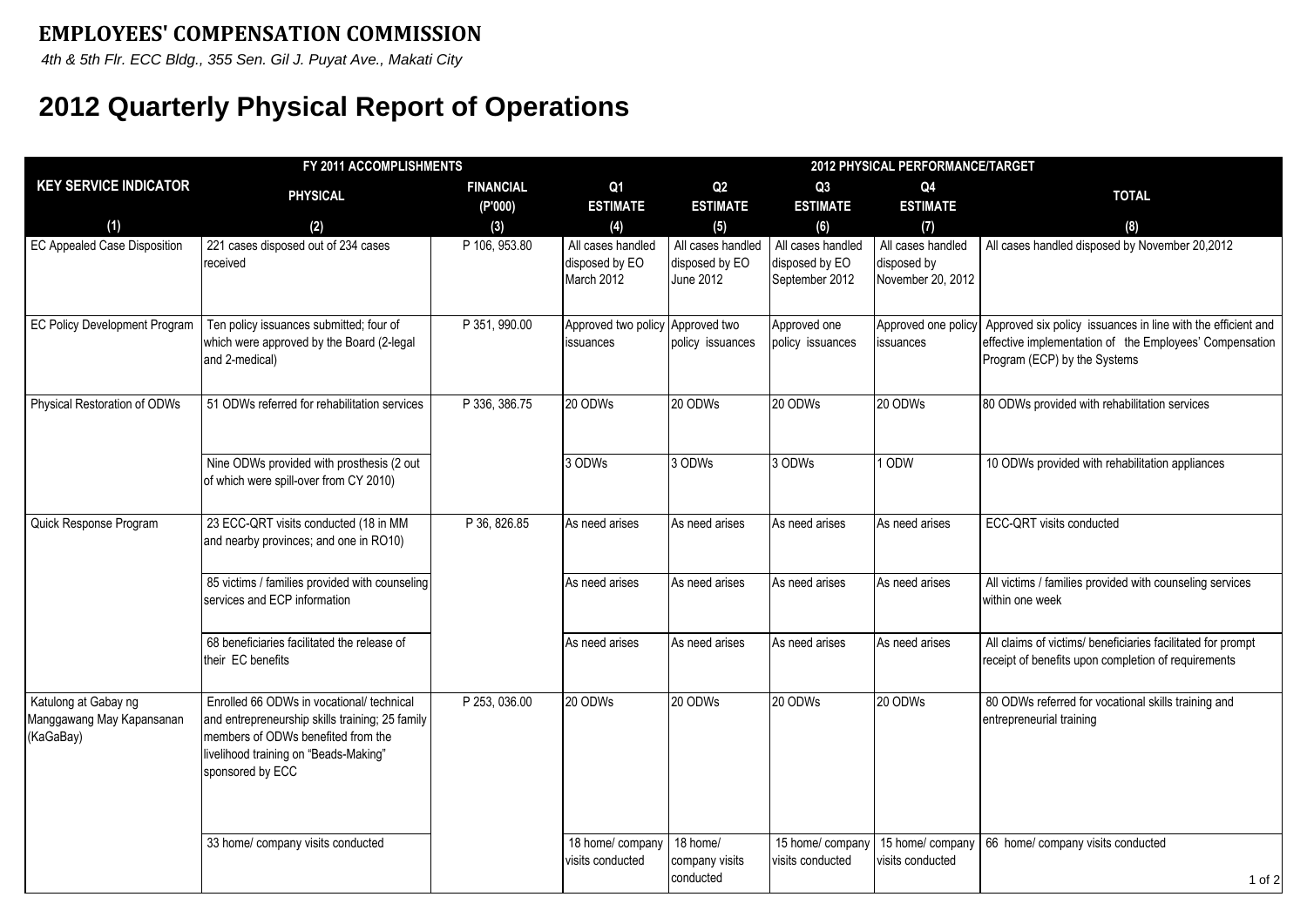*4th & 5th Flr. ECC Bldg., 355 Sen. Gil J. Puyat Ave., Makati City*

## **2012 Quarterly Physical Report of Operations**

| FY 2011 ACCOMPLISHMENTS                                        |                                                                                                                                                                                                 |                  |                                                   |                                                         | 2012 PHYSICAL PERFORMANCE/TARGET                      |                                                       |                                                                                                                                                         |  |  |
|----------------------------------------------------------------|-------------------------------------------------------------------------------------------------------------------------------------------------------------------------------------------------|------------------|---------------------------------------------------|---------------------------------------------------------|-------------------------------------------------------|-------------------------------------------------------|---------------------------------------------------------------------------------------------------------------------------------------------------------|--|--|
| <b>KEY SERVICE INDICATOR</b>                                   | <b>PHYSICAL</b>                                                                                                                                                                                 | <b>FINANCIAL</b> | Q <sub>1</sub>                                    | Q2                                                      | Q3                                                    | Q4                                                    | <b>TOTAL</b>                                                                                                                                            |  |  |
| (1)                                                            | (2)                                                                                                                                                                                             | (P'000)<br>(3)   | <b>ESTIMATE</b><br>(4)                            | <b>ESTIMATE</b><br>(5)                                  | <b>ESTIMATE</b><br>(6)                                | <b>ESTIMATE</b><br>(7)                                | (8)                                                                                                                                                     |  |  |
| <b>EC Appealed Case Disposition</b>                            | 221 cases disposed out of 234 cases<br>received                                                                                                                                                 | P 106, 953.80    | All cases handled<br>disposed by EO<br>March 2012 | All cases handled<br>disposed by EO<br><b>June 2012</b> | All cases handled<br>disposed by EO<br>September 2012 | All cases handled<br>disposed by<br>November 20, 2012 | All cases handled disposed by November 20,2012                                                                                                          |  |  |
| <b>EC Policy Development Program</b>                           | Ten policy issuances submitted; four of<br>which were approved by the Board (2-legal<br>and 2-medical)                                                                                          | P 351, 990.00    | Approved two policy<br>issuances                  | Approved two<br>policy issuances                        | Approved one<br>policy issuances                      | Approved one policy<br>issuances                      | Approved six policy issuances in line with the efficient and<br>effective implementation of the Employees' Compensation<br>Program (ECP) by the Systems |  |  |
| Physical Restoration of ODWs                                   | 51 ODWs referred for rehabilitation services                                                                                                                                                    | P 336, 386.75    | 20 ODWs                                           | 20 ODWs                                                 | 20 ODWs                                               | 20 ODWs                                               | 80 ODWs provided with rehabilitation services                                                                                                           |  |  |
|                                                                | Nine ODWs provided with prosthesis (2 out<br>of which were spill-over from CY 2010)                                                                                                             |                  | 3 ODWs                                            | 3 ODWs                                                  | 3 ODWs                                                | 1 ODW                                                 | 10 ODWs provided with rehabilitation appliances                                                                                                         |  |  |
| Quick Response Program                                         | 23 ECC-QRT visits conducted (18 in MM<br>and nearby provinces; and one in RO10)                                                                                                                 | P 36, 826.85     | As need arises                                    | As need arises                                          | As need arises                                        | As need arises                                        | ECC-QRT visits conducted                                                                                                                                |  |  |
|                                                                | 85 victims / families provided with counseling<br>services and ECP information                                                                                                                  |                  | As need arises                                    | As need arises                                          | As need arises                                        | As need arises                                        | All victims / families provided with counseling services<br>within one week                                                                             |  |  |
|                                                                | 68 beneficiaries facilitated the release of<br>their EC benefits                                                                                                                                |                  | As need arises                                    | As need arises                                          | As need arises                                        | As need arises                                        | All claims of victims/ beneficiaries facilitated for prompt<br>receipt of benefits upon completion of requirements                                      |  |  |
| Katulong at Gabay ng<br>Manggawang May Kapansanan<br>(KaGaBay) | Enrolled 66 ODWs in vocational/ technical<br>and entrepreneurship skills training; 25 family<br>members of ODWs benefited from the<br>livelihood training on "Beads-Making"<br>sponsored by ECC | P 253, 036.00    | 20 ODWs                                           | 20 ODWs                                                 | 20 ODWs                                               | 20 ODWs                                               | 80 ODWs referred for vocational skills training and<br>entrepreneurial training                                                                         |  |  |
|                                                                | 33 home/ company visits conducted                                                                                                                                                               |                  | 18 home/ company<br>visits conducted              | 18 home/<br>company visits<br>conducted                 | 15 home/ company<br>visits conducted                  | 15 home/ company<br>visits conducted                  | 66 home/ company visits conducted<br>1 of 2                                                                                                             |  |  |